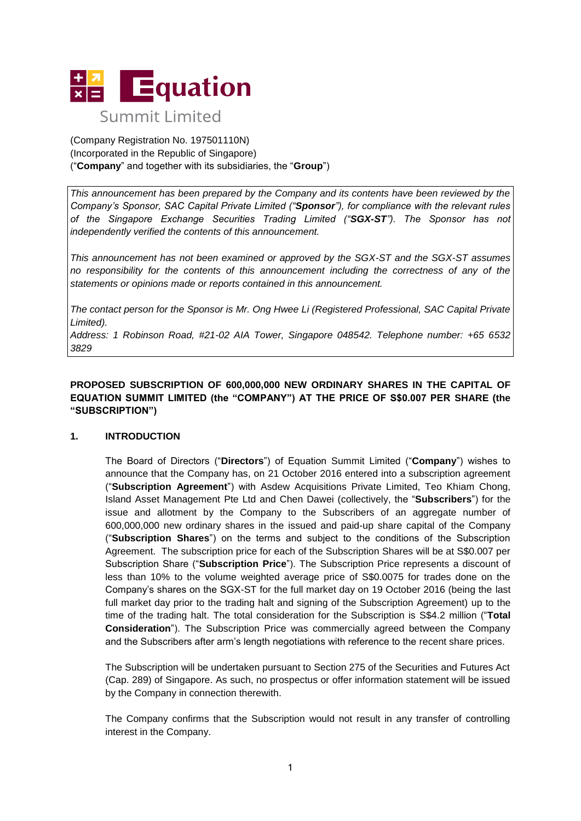

(Company Registration No. 197501110N) (Incorporated in the Republic of Singapore) ("**Company**" and together with its subsidiaries, the "**Group**")

*This announcement has been prepared by the Company and its contents have been reviewed by the Company's Sponsor, SAC Capital Private Limited ("Sponsor"), for compliance with the relevant rules of the Singapore Exchange Securities Trading Limited ("SGX-ST"). The Sponsor has not independently verified the contents of this announcement.* 

*This announcement has not been examined or approved by the SGX-ST and the SGX-ST assumes no responsibility for the contents of this announcement including the correctness of any of the statements or opinions made or reports contained in this announcement.* 

*The contact person for the Sponsor is Mr. Ong Hwee Li (Registered Professional, SAC Capital Private Limited).*

*Address: 1 Robinson Road, #21-02 AIA Tower, Singapore 048542. Telephone number: +65 6532 3829*

**PROPOSED SUBSCRIPTION OF 600,000,000 NEW ORDINARY SHARES IN THE CAPITAL OF EQUATION SUMMIT LIMITED (the "COMPANY") AT THE PRICE OF S\$0.007 PER SHARE (the "SUBSCRIPTION")**

### **1. INTRODUCTION**

The Board of Directors ("**Directors**") of Equation Summit Limited ("**Company**") wishes to announce that the Company has, on 21 October 2016 entered into a subscription agreement ("**Subscription Agreement**") with Asdew Acquisitions Private Limited, Teo Khiam Chong, Island Asset Management Pte Ltd and Chen Dawei (collectively, the "**Subscribers**") for the issue and allotment by the Company to the Subscribers of an aggregate number of 600,000,000 new ordinary shares in the issued and paid-up share capital of the Company ("**Subscription Shares**") on the terms and subject to the conditions of the Subscription Agreement. The subscription price for each of the Subscription Shares will be at S\$0.007 per Subscription Share ("**Subscription Price**"). The Subscription Price represents a discount of less than 10% to the volume weighted average price of S\$0.0075 for trades done on the Company's shares on the SGX-ST for the full market day on 19 October 2016 (being the last full market day prior to the trading halt and signing of the Subscription Agreement) up to the time of the trading halt. The total consideration for the Subscription is S\$4.2 million ("**Total Consideration**"). The Subscription Price was commercially agreed between the Company and the Subscribers after arm's length negotiations with reference to the recent share prices.

The Subscription will be undertaken pursuant to Section 275 of the Securities and Futures Act (Cap. 289) of Singapore. As such, no prospectus or offer information statement will be issued by the Company in connection therewith.

The Company confirms that the Subscription would not result in any transfer of controlling interest in the Company.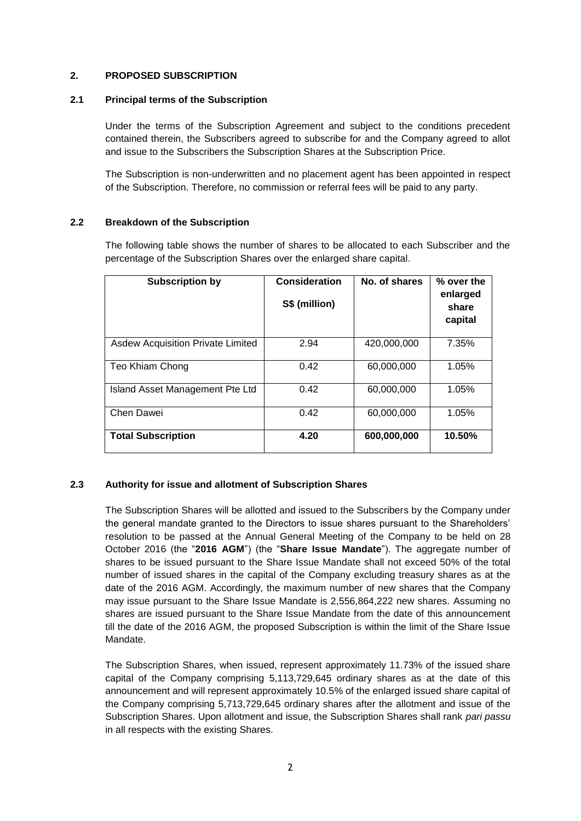### **2. PROPOSED SUBSCRIPTION**

### **2.1 Principal terms of the Subscription**

Under the terms of the Subscription Agreement and subject to the conditions precedent contained therein, the Subscribers agreed to subscribe for and the Company agreed to allot and issue to the Subscribers the Subscription Shares at the Subscription Price.

The Subscription is non-underwritten and no placement agent has been appointed in respect of the Subscription. Therefore, no commission or referral fees will be paid to any party.

#### **2.2 Breakdown of the Subscription**

The following table shows the number of shares to be allocated to each Subscriber and the percentage of the Subscription Shares over the enlarged share capital.

| <b>Subscription by</b>                   | Consideration<br>S\$ (million) | No. of shares | % over the<br>enlarged<br>share<br>capital |
|------------------------------------------|--------------------------------|---------------|--------------------------------------------|
| <b>Asdew Acquisition Private Limited</b> | 2.94                           | 420,000,000   | 7.35%                                      |
| Teo Khiam Chong                          | 0.42                           | 60,000,000    | 1.05%                                      |
| Island Asset Management Pte Ltd          | 0.42                           | 60,000,000    | 1.05%                                      |
| Chen Dawei                               | 0.42                           | 60,000,000    | 1.05%                                      |
| <b>Total Subscription</b>                | 4.20                           | 600,000,000   | 10.50%                                     |

## **2.3 Authority for issue and allotment of Subscription Shares**

The Subscription Shares will be allotted and issued to the Subscribers by the Company under the general mandate granted to the Directors to issue shares pursuant to the Shareholders' resolution to be passed at the Annual General Meeting of the Company to be held on 28 October 2016 (the "**2016 AGM**") (the "**Share Issue Mandate**"). The aggregate number of shares to be issued pursuant to the Share Issue Mandate shall not exceed 50% of the total number of issued shares in the capital of the Company excluding treasury shares as at the date of the 2016 AGM. Accordingly, the maximum number of new shares that the Company may issue pursuant to the Share Issue Mandate is 2,556,864,222 new shares. Assuming no shares are issued pursuant to the Share Issue Mandate from the date of this announcement till the date of the 2016 AGM, the proposed Subscription is within the limit of the Share Issue Mandate.

The Subscription Shares, when issued, represent approximately 11.73% of the issued share capital of the Company comprising 5,113,729,645 ordinary shares as at the date of this announcement and will represent approximately 10.5% of the enlarged issued share capital of the Company comprising 5,713,729,645 ordinary shares after the allotment and issue of the Subscription Shares. Upon allotment and issue, the Subscription Shares shall rank *pari passu* in all respects with the existing Shares.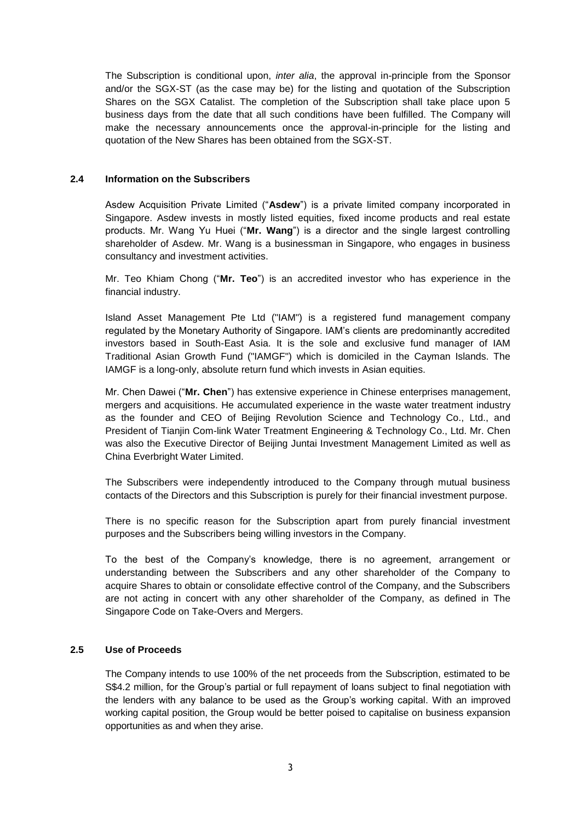The Subscription is conditional upon, *inter alia*, the approval in-principle from the Sponsor and/or the SGX-ST (as the case may be) for the listing and quotation of the Subscription Shares on the SGX Catalist. The completion of the Subscription shall take place upon 5 business days from the date that all such conditions have been fulfilled. The Company will make the necessary announcements once the approval-in-principle for the listing and quotation of the New Shares has been obtained from the SGX-ST.

### **2.4 Information on the Subscribers**

Asdew Acquisition Private Limited ("**Asdew**") is a private limited company incorporated in Singapore. Asdew invests in mostly listed equities, fixed income products and real estate products. Mr. Wang Yu Huei ("**Mr. Wang**") is a director and the single largest controlling shareholder of Asdew. Mr. Wang is a businessman in Singapore, who engages in business consultancy and investment activities.

Mr. Teo Khiam Chong ("**Mr. Teo**") is an accredited investor who has experience in the financial industry.

Island Asset Management Pte Ltd ("IAM") is a registered fund management company regulated by the Monetary Authority of Singapore. IAM's clients are predominantly accredited investors based in South-East Asia. It is the sole and exclusive fund manager of IAM Traditional Asian Growth Fund ("IAMGF") which is domiciled in the Cayman Islands. The IAMGF is a long-only, absolute return fund which invests in Asian equities.

Mr. Chen Dawei ("**Mr. Chen**") has extensive experience in Chinese enterprises management, mergers and acquisitions. He accumulated experience in the waste water treatment industry as the founder and CEO of Beijing Revolution Science and Technology Co., Ltd., and President of Tianjin Com-link Water Treatment Engineering & Technology Co., Ltd. Mr. Chen was also the Executive Director of Beijing Juntai Investment Management Limited as well as China Everbright Water Limited.

The Subscribers were independently introduced to the Company through mutual business contacts of the Directors and this Subscription is purely for their financial investment purpose.

There is no specific reason for the Subscription apart from purely financial investment purposes and the Subscribers being willing investors in the Company.

To the best of the Company's knowledge, there is no agreement, arrangement or understanding between the Subscribers and any other shareholder of the Company to acquire Shares to obtain or consolidate effective control of the Company, and the Subscribers are not acting in concert with any other shareholder of the Company, as defined in The Singapore Code on Take-Overs and Mergers.

# **2.5 Use of Proceeds**

The Company intends to use 100% of the net proceeds from the Subscription, estimated to be S\$4.2 million, for the Group's partial or full repayment of loans subject to final negotiation with the lenders with any balance to be used as the Group's working capital. With an improved working capital position, the Group would be better poised to capitalise on business expansion opportunities as and when they arise.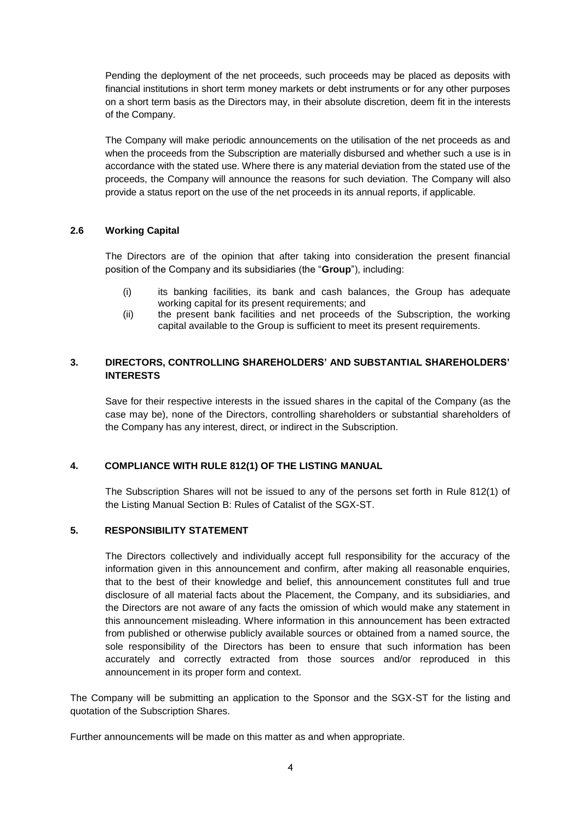Pending the deployment of the net proceeds, such proceeds may be placed as deposits with financial institutions in short term money markets or debt instruments or for any other purposes on a short term basis as the Directors may, in their absolute discretion, deem fit in the interests of the Company.

The Company will make periodic announcements on the utilisation of the net proceeds as and when the proceeds from the Subscription are materially disbursed and whether such a use is in accordance with the stated use. Where there is any material deviation from the stated use of the proceeds, the Company will announce the reasons for such deviation. The Company will also provide a status report on the use of the net proceeds in its annual reports, if applicable.

### **2.6 Working Capital**

The Directors are of the opinion that after taking into consideration the present financial position of the Company and its subsidiaries (the "**Group**"), including:

- (i) its banking facilities, its bank and cash balances, the Group has adequate working capital for its present requirements; and
- (ii) the present bank facilities and net proceeds of the Subscription, the working capital available to the Group is sufficient to meet its present requirements.

## **3. DIRECTORS, CONTROLLING SHAREHOLDERS' AND SUBSTANTIAL SHAREHOLDERS' INTERESTS**

Save for their respective interests in the issued shares in the capital of the Company (as the case may be), none of the Directors, controlling shareholders or substantial shareholders of the Company has any interest, direct, or indirect in the Subscription.

### **4. COMPLIANCE WITH RULE 812(1) OF THE LISTING MANUAL**

The Subscription Shares will not be issued to any of the persons set forth in Rule 812(1) of the Listing Manual Section B: Rules of Catalist of the SGX-ST.

# **5. RESPONSIBILITY STATEMENT**

The Directors collectively and individually accept full responsibility for the accuracy of the information given in this announcement and confirm, after making all reasonable enquiries, that to the best of their knowledge and belief, this announcement constitutes full and true disclosure of all material facts about the Placement, the Company, and its subsidiaries, and the Directors are not aware of any facts the omission of which would make any statement in this announcement misleading. Where information in this announcement has been extracted from published or otherwise publicly available sources or obtained from a named source, the sole responsibility of the Directors has been to ensure that such information has been accurately and correctly extracted from those sources and/or reproduced in this announcement in its proper form and context.

The Company will be submitting an application to the Sponsor and the SGX-ST for the listing and quotation of the Subscription Shares.

Further announcements will be made on this matter as and when appropriate.